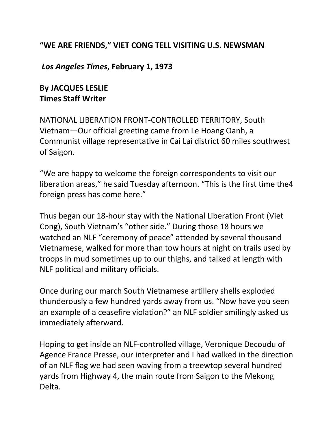## **"WE ARE FRIENDS," VIET CONG TELL VISITING U.S. NEWSMAN**

## *Los Angeles Times***, February 1, 1973**

## **By JACQUES LESLIE Times Staff Writer**

NATIONAL LIBERATION FRONT-CONTROLLED TERRITORY, South Vietnam—Our official greeting came from Le Hoang Oanh, a Communist village representative in Cai Lai district 60 miles southwest of Saigon.

"We are happy to welcome the foreign correspondents to visit our liberation areas," he said Tuesday afternoon. "This is the first time the4 foreign press has come here."

Thus began our 18-hour stay with the National Liberation Front (Viet Cong), South Vietnam's "other side." During those 18 hours we watched an NLF "ceremony of peace" attended by several thousand Vietnamese, walked for more than tow hours at night on trails used by troops in mud sometimes up to our thighs, and talked at length with NLF political and military officials.

Once during our march South Vietnamese artillery shells exploded thunderously a few hundred yards away from us. "Now have you seen an example of a ceasefire violation?" an NLF soldier smilingly asked us immediately afterward.

Hoping to get inside an NLF-controlled village, Veronique Decoudu of Agence France Presse, our interpreter and I had walked in the direction of an NLF flag we had seen waving from a treewtop several hundred yards from Highway 4, the main route from Saigon to the Mekong Delta.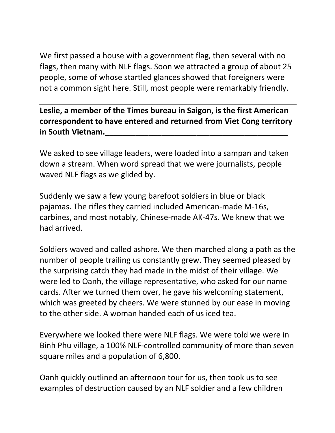We first passed a house with a government flag, then several with no flags, then many with NLF flags. Soon we attracted a group of about 25 people, some of whose startled glances showed that foreigners were not a common sight here. Still, most people were remarkably friendly.

**Leslie, a member of the Times bureau in Saigon, is the first American correspondent to have entered and returned from Viet Cong territory in South Vietnam.\_\_\_\_\_\_\_\_\_\_\_\_\_\_\_\_\_\_\_\_\_\_\_\_\_\_\_\_\_\_\_\_\_\_\_\_\_\_\_\_\_\_**

We asked to see village leaders, were loaded into a sampan and taken down a stream. When word spread that we were journalists, people waved NLF flags as we glided by.

Suddenly we saw a few young barefoot soldiers in blue or black pajamas. The rifles they carried included American-made M-16s, carbines, and most notably, Chinese-made AK-47s. We knew that we had arrived.

Soldiers waved and called ashore. We then marched along a path as the number of people trailing us constantly grew. They seemed pleased by the surprising catch they had made in the midst of their village. We were led to Oanh, the village representative, who asked for our name cards. After we turned them over, he gave his welcoming statement, which was greeted by cheers. We were stunned by our ease in moving to the other side. A woman handed each of us iced tea.

Everywhere we looked there were NLF flags. We were told we were in Binh Phu village, a 100% NLF-controlled community of more than seven square miles and a population of 6,800.

Oanh quickly outlined an afternoon tour for us, then took us to see examples of destruction caused by an NLF soldier and a few children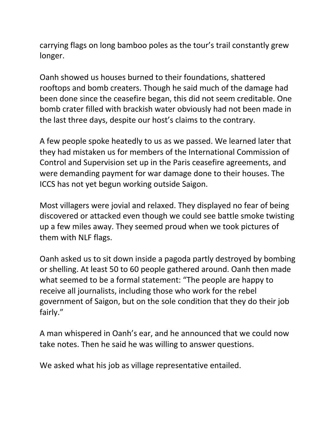carrying flags on long bamboo poles as the tour's trail constantly grew longer.

Oanh showed us houses burned to their foundations, shattered rooftops and bomb creaters. Though he said much of the damage had been done since the ceasefire began, this did not seem creditable. One bomb crater filled with brackish water obviously had not been made in the last three days, despite our host's claims to the contrary.

A few people spoke heatedly to us as we passed. We learned later that they had mistaken us for members of the International Commission of Control and Supervision set up in the Paris ceasefire agreements, and were demanding payment for war damage done to their houses. The ICCS has not yet begun working outside Saigon.

Most villagers were jovial and relaxed. They displayed no fear of being discovered or attacked even though we could see battle smoke twisting up a few miles away. They seemed proud when we took pictures of them with NLF flags.

Oanh asked us to sit down inside a pagoda partly destroyed by bombing or shelling. At least 50 to 60 people gathered around. Oanh then made what seemed to be a formal statement: "The people are happy to receive all journalists, including those who work for the rebel government of Saigon, but on the sole condition that they do their job fairly."

A man whispered in Oanh's ear, and he announced that we could now take notes. Then he said he was willing to answer questions.

We asked what his job as village representative entailed.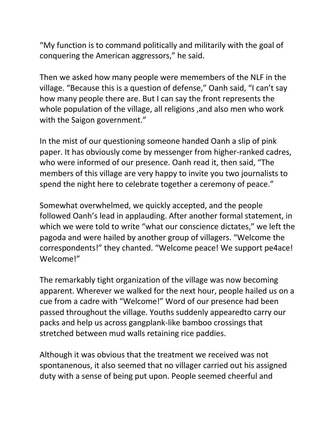"My function is to command politically and militarily with the goal of conquering the American aggressors," he said.

Then we asked how many people were memembers of the NLF in the village. "Because this is a question of defense," Oanh said, "I can't say how many people there are. But I can say the front represents the whole population of the village, all religions ,and also men who work with the Saigon government."

In the mist of our questioning someone handed Oanh a slip of pink paper. It has obviously come by messenger from higher-ranked cadres, who were informed of our presence. Oanh read it, then said, "The members of this village are very happy to invite you two journalists to spend the night here to celebrate together a ceremony of peace."

Somewhat overwhelmed, we quickly accepted, and the people followed Oanh's lead in applauding. After another formal statement, in which we were told to write "what our conscience dictates," we left the pagoda and were hailed by another group of villagers. "Welcome the correspondents!" they chanted. "Welcome peace! We support pe4ace! Welcome!"

The remarkably tight organization of the village was now becoming apparent. Wherever we walked for the next hour, people hailed us on a cue from a cadre with "Welcome!" Word of our presence had been passed throughout the village. Youths suddenly appearedto carry our packs and help us across gangplank-like bamboo crossings that stretched between mud walls retaining rice paddies.

Although it was obvious that the treatment we received was not spontanenous, it also seemed that no villager carried out his assigned duty with a sense of being put upon. People seemed cheerful and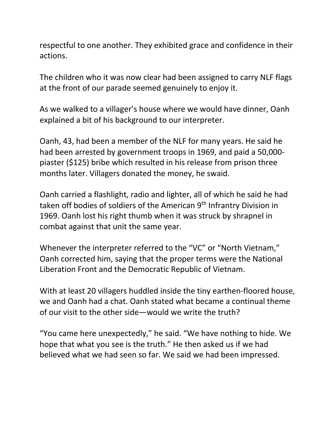respectful to one another. They exhibited grace and confidence in their actions.

The children who it was now clear had been assigned to carry NLF flags at the front of our parade seemed genuinely to enjoy it.

As we walked to a villager's house where we would have dinner, Oanh explained a bit of his background to our interpreter.

Oanh, 43, had been a member of the NLF for many years. He said he had been arrested by government troops in 1969, and paid a 50,000 piaster (\$125) bribe which resulted in his release from prison three months later. Villagers donated the money, he swaid.

Oanh carried a flashlight, radio and lighter, all of which he said he had taken off bodies of soldiers of the American 9<sup>th</sup> Infrantry Division in 1969. Oanh lost his right thumb when it was struck by shrapnel in combat against that unit the same year.

Whenever the interpreter referred to the "VC" or "North Vietnam," Oanh corrected him, saying that the proper terms were the National Liberation Front and the Democratic Republic of Vietnam.

With at least 20 villagers huddled inside the tiny earthen-floored house, we and Oanh had a chat. Oanh stated what became a continual theme of our visit to the other side—would we write the truth?

"You came here unexpectedly," he said. "We have nothing to hide. We hope that what you see is the truth." He then asked us if we had believed what we had seen so far. We said we had been impressed.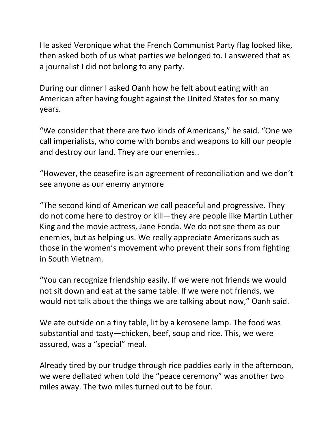He asked Veronique what the French Communist Party flag looked like, then asked both of us what parties we belonged to. I answered that as a journalist I did not belong to any party.

During our dinner I asked Oanh how he felt about eating with an American after having fought against the United States for so many years.

"We consider that there are two kinds of Americans," he said. "One we call imperialists, who come with bombs and weapons to kill our people and destroy our land. They are our enemies..

"However, the ceasefire is an agreement of reconciliation and we don't see anyone as our enemy anymore

"The second kind of American we call peaceful and progressive. They do not come here to destroy or kill—they are people like Martin Luther King and the movie actress, Jane Fonda. We do not see them as our enemies, but as helping us. We really appreciate Americans such as those in the women's movement who prevent their sons from fighting in South Vietnam.

"You can recognize friendship easily. If we were not friends we would not sit down and eat at the same table. If we were not friends, we would not talk about the things we are talking about now," Oanh said.

We ate outside on a tiny table, lit by a kerosene lamp. The food was substantial and tasty—chicken, beef, soup and rice. This, we were assured, was a "special" meal.

Already tired by our trudge through rice paddies early in the afternoon, we were deflated when told the "peace ceremony" was another two miles away. The two miles turned out to be four.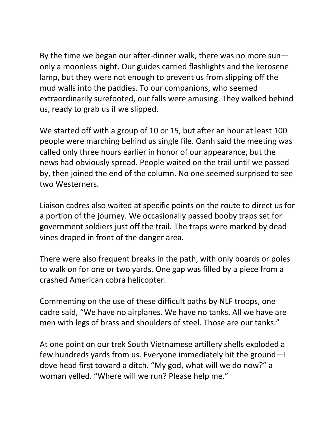By the time we began our after-dinner walk, there was no more sun only a moonless night. Our guides carried flashlights and the kerosene lamp, but they were not enough to prevent us from slipping off the mud walls into the paddies. To our companions, who seemed extraordinarily surefooted, our falls were amusing. They walked behind us, ready to grab us if we slipped.

We started off with a group of 10 or 15, but after an hour at least 100 people were marching behind us single file. Oanh said the meeting was called only three hours earlier in honor of our appearance, but the news had obviously spread. People waited on the trail until we passed by, then joined the end of the column. No one seemed surprised to see two Westerners.

Liaison cadres also waited at specific points on the route to direct us for a portion of the journey. We occasionally passed booby traps set for government soldiers just off the trail. The traps were marked by dead vines draped in front of the danger area.

There were also frequent breaks in the path, with only boards or poles to walk on for one or two yards. One gap was filled by a piece from a crashed American cobra helicopter.

Commenting on the use of these difficult paths by NLF troops, one cadre said, "We have no airplanes. We have no tanks. All we have are men with legs of brass and shoulders of steel. Those are our tanks."

At one point on our trek South Vietnamese artillery shells exploded a few hundreds yards from us. Everyone immediately hit the ground—I dove head first toward a ditch. "My god, what will we do now?" a woman yelled. "Where will we run? Please help me."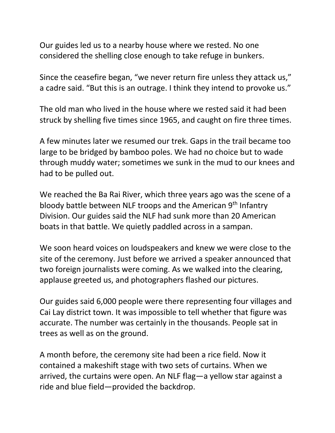Our guides led us to a nearby house where we rested. No one considered the shelling close enough to take refuge in bunkers.

Since the ceasefire began, "we never return fire unless they attack us," a cadre said. "But this is an outrage. I think they intend to provoke us."

The old man who lived in the house where we rested said it had been struck by shelling five times since 1965, and caught on fire three times.

A few minutes later we resumed our trek. Gaps in the trail became too large to be bridged by bamboo poles. We had no choice but to wade through muddy water; sometimes we sunk in the mud to our knees and had to be pulled out.

We reached the Ba Rai River, which three years ago was the scene of a bloody battle between NLF troops and the American 9<sup>th</sup> Infantry Division. Our guides said the NLF had sunk more than 20 American boats in that battle. We quietly paddled across in a sampan.

We soon heard voices on loudspeakers and knew we were close to the site of the ceremony. Just before we arrived a speaker announced that two foreign journalists were coming. As we walked into the clearing, applause greeted us, and photographers flashed our pictures.

Our guides said 6,000 people were there representing four villages and Cai Lay district town. It was impossible to tell whether that figure was accurate. The number was certainly in the thousands. People sat in trees as well as on the ground.

A month before, the ceremony site had been a rice field. Now it contained a makeshift stage with two sets of curtains. When we arrived, the curtains were open. An NLF flag—a yellow star against a ride and blue field—provided the backdrop.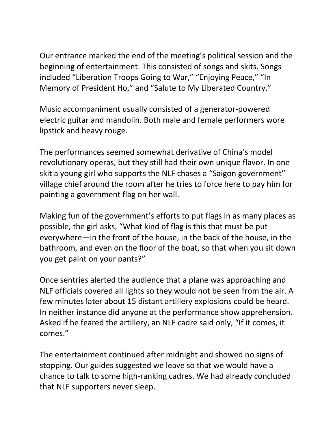Our entrance marked the end of the meeting's political session and the beginning of entertainment. This consisted of songs and skits. Songs included "Liberation Troops Going to War," "Enjoying Peace," "In Memory of President Ho," and "Salute to My Liberated Country."

Music accompaniment usually consisted of a generator-powered electric guitar and mandolin. Both male and female performers wore lipstick and heavy rouge.

The performances seemed somewhat derivative of China's model revolutionary operas, but they still had their own unique flavor. In one skit a young girl who supports the NLF chases a "Saigon government" village chief around the room after he tries to force here to pay him for painting a government flag on her wall.

Making fun of the government's efforts to put flags in as many places as possible, the girl asks, "What kind of flag is this that must be put everywhere—in the front of the house, in the back of the house, in the bathroom, and even on the floor of the boat, so that when you sit down you get paint on your pants?"

Once sentries alerted the audience that a plane was approaching and NLF officials covered all lights so they would not be seen from the air. A few minutes later about 15 distant artillery explosions could be heard. In neither instance did anyone at the performance show apprehension. Asked if he feared the artillery, an NLF cadre said only, "If it comes, it comes."

The entertainment continued after midnight and showed no signs of stopping. Our guides suggested we leave so that we would have a chance to talk to some high-ranking cadres. We had already concluded that NLF supporters never sleep.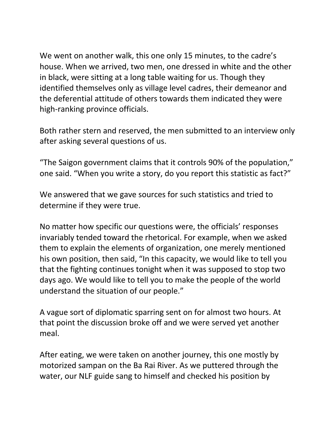We went on another walk, this one only 15 minutes, to the cadre's house. When we arrived, two men, one dressed in white and the other in black, were sitting at a long table waiting for us. Though they identified themselves only as village level cadres, their demeanor and the deferential attitude of others towards them indicated they were high-ranking province officials.

Both rather stern and reserved, the men submitted to an interview only after asking several questions of us.

"The Saigon government claims that it controls 90% of the population," one said. "When you write a story, do you report this statistic as fact?"

We answered that we gave sources for such statistics and tried to determine if they were true.

No matter how specific our questions were, the officials' responses invariably tended toward the rhetorical. For example, when we asked them to explain the elements of organization, one merely mentioned his own position, then said, "In this capacity, we would like to tell you that the fighting continues tonight when it was supposed to stop two days ago. We would like to tell you to make the people of the world understand the situation of our people."

A vague sort of diplomatic sparring sent on for almost two hours. At that point the discussion broke off and we were served yet another meal.

After eating, we were taken on another journey, this one mostly by motorized sampan on the Ba Rai River. As we puttered through the water, our NLF guide sang to himself and checked his position by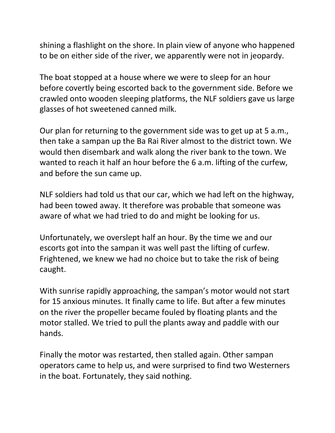shining a flashlight on the shore. In plain view of anyone who happened to be on either side of the river, we apparently were not in jeopardy.

The boat stopped at a house where we were to sleep for an hour before covertly being escorted back to the government side. Before we crawled onto wooden sleeping platforms, the NLF soldiers gave us large glasses of hot sweetened canned milk.

Our plan for returning to the government side was to get up at 5 a.m., then take a sampan up the Ba Rai River almost to the district town. We would then disembark and walk along the river bank to the town. We wanted to reach it half an hour before the 6 a.m. lifting of the curfew, and before the sun came up.

NLF soldiers had told us that our car, which we had left on the highway, had been towed away. It therefore was probable that someone was aware of what we had tried to do and might be looking for us.

Unfortunately, we overslept half an hour. By the time we and our escorts got into the sampan it was well past the lifting of curfew. Frightened, we knew we had no choice but to take the risk of being caught.

With sunrise rapidly approaching, the sampan's motor would not start for 15 anxious minutes. It finally came to life. But after a few minutes on the river the propeller became fouled by floating plants and the motor stalled. We tried to pull the plants away and paddle with our hands.

Finally the motor was restarted, then stalled again. Other sampan operators came to help us, and were surprised to find two Westerners in the boat. Fortunately, they said nothing.